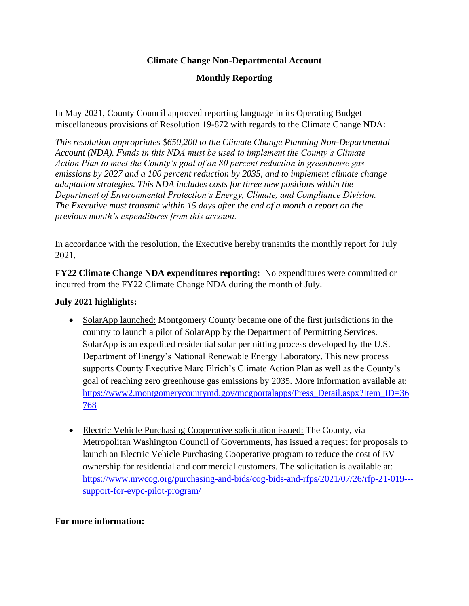## **Climate Change Non-Departmental Account**

## **Monthly Reporting**

In May 2021, County Council approved reporting language in its Operating Budget miscellaneous provisions of Resolution 19-872 with regards to the Climate Change NDA:

*This resolution appropriates \$650,200 to the Climate Change Planning Non-Departmental Account (NDA). Funds in this NDA must be used to implement the County's Climate Action Plan to meet the County's goal of an 80 percent reduction in greenhouse gas emissions by 2027 and a 100 percent reduction by 2035, and to implement climate change adaptation strategies. This NDA includes costs for three new positions within the Department of Environmental Protection's Energy, Climate, and Compliance Division. The Executive must transmit within 15 days after the end of a month a report on the previous month's expenditures from this account.*

In accordance with the resolution, the Executive hereby transmits the monthly report for July 2021.

**FY22 Climate Change NDA expenditures reporting:** No expenditures were committed or incurred from the FY22 Climate Change NDA during the month of July.

## **July 2021 highlights:**

- SolarApp launched: Montgomery County became one of the first jurisdictions in the country to launch a pilot of SolarApp by the Department of Permitting Services. SolarApp is an expedited residential solar permitting process developed by the U.S. Department of Energy's National Renewable Energy Laboratory. This new process supports County Executive Marc Elrich's Climate Action Plan as well as the County's goal of reaching zero greenhouse gas emissions by 2035. More information available at: [https://www2.montgomerycountymd.gov/mcgportalapps/Press\\_Detail.aspx?Item\\_ID=36](https://www2.montgomerycountymd.gov/mcgportalapps/Press_Detail.aspx?Item_ID=36768) [768](https://www2.montgomerycountymd.gov/mcgportalapps/Press_Detail.aspx?Item_ID=36768)
- Electric Vehicle Purchasing Cooperative solicitation issued: The County, via Metropolitan Washington Council of Governments, has issued a request for proposals to launch an Electric Vehicle Purchasing Cooperative program to reduce the cost of EV ownership for residential and commercial customers. The solicitation is available at: [https://www.mwcog.org/purchasing-and-bids/cog-bids-and-rfps/2021/07/26/rfp-21-019--](https://www.mwcog.org/purchasing-and-bids/cog-bids-and-rfps/2021/07/26/rfp-21-019---support-for-evpc-pilot-program/) [support-for-evpc-pilot-program/](https://www.mwcog.org/purchasing-and-bids/cog-bids-and-rfps/2021/07/26/rfp-21-019---support-for-evpc-pilot-program/)

## **For more information:**